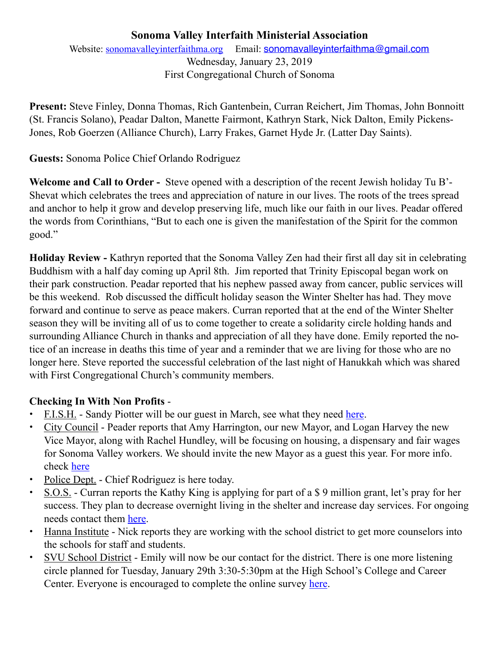## **Sonoma Valley Interfaith Ministerial Association**

Website: [sonomavalleyinterfaithma.org](http://sonomavalleyinterfaithma.org) Email: [sonomavalleyinterfaithma@gmail.com](mailto:sonomavalleyinterfaithma@gmail.com) Wednesday, January 23, 2019 First Congregational Church of Sonoma

**Present:** Steve Finley, Donna Thomas, Rich Gantenbein, Curran Reichert, Jim Thomas, John Bonnoitt (St. Francis Solano), Peadar Dalton, Manette Fairmont, Kathryn Stark, Nick Dalton, Emily Pickens-Jones, Rob Goerzen (Alliance Church), Larry Frakes, Garnet Hyde Jr. (Latter Day Saints).

**Guests:** Sonoma Police Chief Orlando Rodriguez

**Welcome and Call to Order -** Steve opened with a description of the recent Jewish holiday Tu B'- Shevat which celebrates the trees and appreciation of nature in our lives. The roots of the trees spread and anchor to help it grow and develop preserving life, much like our faith in our lives. Peadar offered the words from Corinthians, "But to each one is given the manifestation of the Spirit for the common good."

**Holiday Review -** Kathryn reported that the Sonoma Valley Zen had their first all day sit in celebrating Buddhism with a half day coming up April 8th. Jim reported that Trinity Episcopal began work on their park construction. Peadar reported that his nephew passed away from cancer, public services will be this weekend. Rob discussed the difficult holiday season the Winter Shelter has had. They move forward and continue to serve as peace makers. Curran reported that at the end of the Winter Shelter season they will be inviting all of us to come together to create a solidarity circle holding hands and surrounding Alliance Church in thanks and appreciation of all they have done. Emily reported the notice of an increase in deaths this time of year and a reminder that we are living for those who are no longer here. Steve reported the successful celebration of the last night of Hanukkah which was shared with First Congregational Church's community members.

## **Checking In With Non Profits** -

- **•** F.I.S.H. Sandy Piotter will be our guest in March, see what they need [here.](http://www.friendsinsonomahelping.org)
- **•** City Council Peader reports that Amy Harrington, our new Mayor, and Logan Harvey the new Vice Mayor, along with Rachel Hundley, will be focusing on housing, a dispensary and fair wages for Sonoma Valley workers. We should invite the new Mayor as a guest this year. For more info. check [here](https://www.sonomacity.org/departments/city-council/)
- **•** Police Dept. Chief Rodriguez is here today.
- **•** S.O.S. Curran reports the Kathy King is applying for part of a \$ 9 million grant, let's pray for her success. They plan to decrease overnight living in the shelter and increase day services. For ongoing needs contact them [here](http://www.sonomaovernightsupport.org).
- **•** Hanna Institute Nick reports they are working with the school district to get more counselors into the schools for staff and students.
- SVU School District Emily will now be our contact for the district. There is one more listening circle planned for Tuesday, January 29th 3:30-5:30pm at the High School's College and Career Center. Everyone is encouraged to complete the online survey [here.](https://www.surveymonkey.com/r/svusdstratplan19)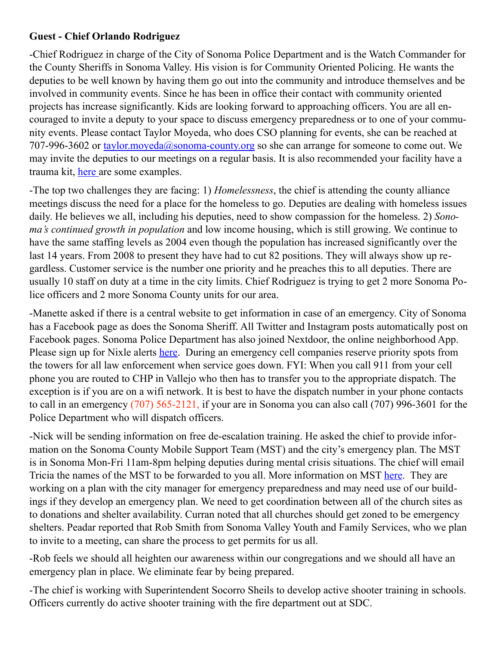## **Guest - Chief Orlando Rodriguez**

-Chief Rodriguez in charge of the City of Sonoma Police Department and is the Watch Commander for the County Sheriffs in Sonoma Valley. His vision is for Community Oriented Policing. He wants the deputies to be well known by having them go out into the community and introduce themselves and be involved in community events. Since he has been in office their contact with community oriented projects has increase significantly. Kids are looking forward to approaching officers. You are all encouraged to invite a deputy to your space to discuss emergency preparedness or to one of your community events. Please contact Taylor Moyeda, who does CSO planning for events, she can be reached at 707-996-3602 or [taylor.moyeda@sonoma-county.org](mailto:taylor.moyeda@sonoma-county.org) so she can arrange for someone to come out. We may invite the deputies to our meetings on a regular basis. It is also recommended your facility have a trauma kit, [here](https://www.grainger.com/search?searchQuery=trauma%20kit&suggestConfigId=1&searchBar=true) are some examples.

-The top two challenges they are facing: 1) *Homelessness*, the chief is attending the county alliance meetings discuss the need for a place for the homeless to go. Deputies are dealing with homeless issues daily. He believes we all, including his deputies, need to show compassion for the homeless. 2) *Sonoma's continued growth in population* and low income housing, which is still growing. We continue to have the same staffing levels as 2004 even though the population has increased significantly over the last 14 years. From 2008 to present they have had to cut 82 positions. They will always show up regardless. Customer service is the number one priority and he preaches this to all deputies. There are usually 10 staff on duty at a time in the city limits. Chief Rodriguez is trying to get 2 more Sonoma Police officers and 2 more Sonoma County units for our area.

-Manette asked if there is a central website to get information in case of an emergency. City of Sonoma has a Facebook page as does the Sonoma Sheriff. All Twitter and Instagram posts automatically post on Facebook pages. Sonoma Police Department has also joined Nextdoor, the online neighborhood App. Please sign up for Nixle alerts [here.](https://local.nixle.com/register/) During an emergency cell companies reserve priority spots from the towers for all law enforcement when service goes down. FYI: When you call 911 from your cell phone you are routed to CHP in Vallejo who then has to transfer you to the appropriate dispatch. The exception is if you are on a wifi network. It is best to have the dispatch number in your phone contacts to call in an emergency (707) 565-2121, if your are in Sonoma you can also call (707) 996-3601 for the Police Department who will dispatch officers.

-Nick will be sending information on free de-escalation training. He asked the chief to provide information on the Sonoma County Mobile Support Team (MST) and the city's emergency plan. The MST is in Sonoma Mon-Fri 11am-8pm helping deputies during mental crisis situations. The chief will email Tricia the names of the MST to be forwarded to you all. More information on MST [here.](https://sonomacounty.ca.gov/Health/Behavioral-Health/Community-Response-and-Engagement/Mobile-Support-Team/) They are working on a plan with the city manager for emergency preparedness and may need use of our buildings if they develop an emergency plan. We need to get coordination between all of the church sites as to donations and shelter availability. Curran noted that all churches should get zoned to be emergency shelters. Peadar reported that Rob Smith from Sonoma Valley Youth and Family Services, who we plan to invite to a meeting, can share the process to get permits for us all.

-Rob feels we should all heighten our awareness within our congregations and we should all have an emergency plan in place. We eliminate fear by being prepared.

-The chief is working with Superintendent Socorro Sheils to develop active shooter training in schools. Officers currently do active shooter training with the fire department out at SDC.